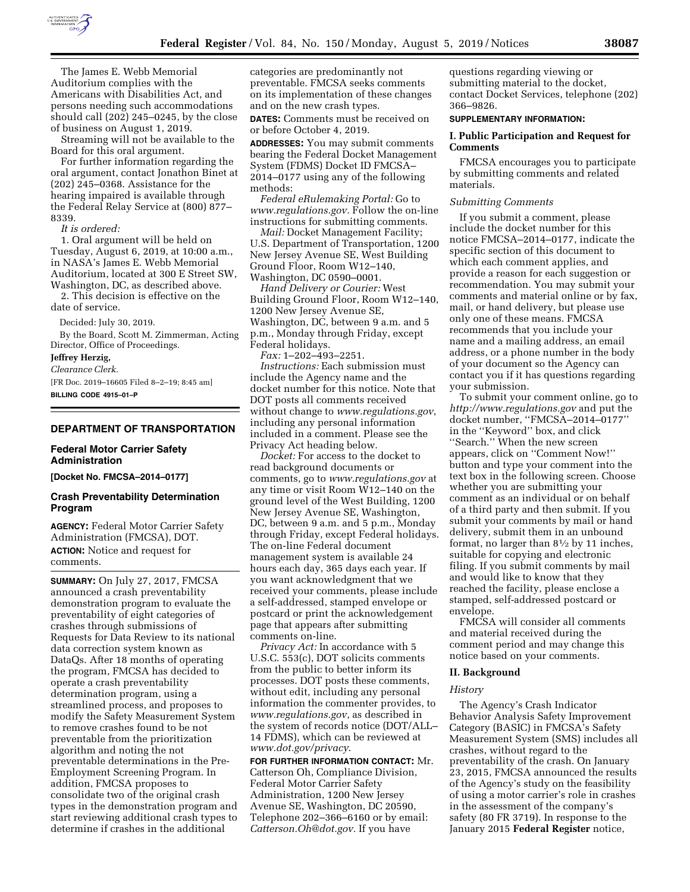

The James E. Webb Memorial Auditorium complies with the Americans with Disabilities Act, and persons needing such accommodations should call (202) 245–0245, by the close of business on August 1, 2019.

Streaming will not be available to the Board for this oral argument.

For further information regarding the oral argument, contact Jonathon Binet at (202) 245–0368. Assistance for the hearing impaired is available through the Federal Relay Service at (800) 877– 8339.

*It is ordered:* 

1. Oral argument will be held on Tuesday, August 6, 2019, at 10:00 a.m., in NASA's James E. Webb Memorial Auditorium, located at 300 E Street SW, Washington, DC, as described above.

2. This decision is effective on the date of service.

Decided: July 30, 2019.

By the Board, Scott M. Zimmerman, Acting Director, Office of Proceedings.

# **Jeffrey Herzig,**

*Clearance Clerk.* 

[FR Doc. 2019–16605 Filed 8–2–19; 8:45 am] **BILLING CODE 4915–01–P** 

# **DEPARTMENT OF TRANSPORTATION**

# **Federal Motor Carrier Safety Administration**

**[Docket No. FMCSA–2014–0177]** 

# **Crash Preventability Determination Program**

**AGENCY:** Federal Motor Carrier Safety Administration (FMCSA), DOT. **ACTION:** Notice and request for comments.

**SUMMARY:** On July 27, 2017, FMCSA announced a crash preventability demonstration program to evaluate the preventability of eight categories of crashes through submissions of Requests for Data Review to its national data correction system known as DataQs. After 18 months of operating the program, FMCSA has decided to operate a crash preventability determination program, using a streamlined process, and proposes to modify the Safety Measurement System to remove crashes found to be not preventable from the prioritization algorithm and noting the not preventable determinations in the Pre-Employment Screening Program. In addition, FMCSA proposes to consolidate two of the original crash types in the demonstration program and start reviewing additional crash types to determine if crashes in the additional

categories are predominantly not preventable. FMCSA seeks comments on its implementation of these changes and on the new crash types.

**DATES:** Comments must be received on or before October 4, 2019.

**ADDRESSES:** You may submit comments bearing the Federal Docket Management System (FDMS) Docket ID FMCSA– 2014–0177 using any of the following methods:

*Federal eRulemaking Portal:* Go to *[www.regulations.gov.](http://www.regulations.gov)* Follow the on-line instructions for submitting comments.

*Mail:* Docket Management Facility; U.S. Department of Transportation, 1200 New Jersey Avenue SE, West Building Ground Floor, Room W12–140, Washington, DC 0590–0001.

*Hand Delivery or Courier:* West Building Ground Floor, Room W12–140, 1200 New Jersey Avenue SE, Washington, DC, between 9 a.m. and 5 p.m., Monday through Friday, except Federal holidays.

*Fax:* 1–202–493–2251.

*Instructions:* Each submission must include the Agency name and the docket number for this notice. Note that DOT posts all comments received without change to *[www.regulations.gov](http://www.regulations.gov)*, including any personal information included in a comment. Please see the Privacy Act heading below.

*Docket:* For access to the docket to read background documents or comments, go to *[www.regulations.gov](http://www.regulations.gov)* at any time or visit Room W12–140 on the ground level of the West Building, 1200 New Jersey Avenue SE, Washington, DC, between 9 a.m. and 5 p.m., Monday through Friday, except Federal holidays. The on-line Federal document management system is available 24 hours each day, 365 days each year. If you want acknowledgment that we received your comments, please include a self-addressed, stamped envelope or postcard or print the acknowledgement page that appears after submitting comments on-line.

*Privacy Act:* In accordance with 5 U.S.C. 553(c), DOT solicits comments from the public to better inform its processes. DOT posts these comments, without edit, including any personal information the commenter provides, to *[www.regulations.gov](http://www.regulations.gov)*, as described in the system of records notice (DOT/ALL– 14 FDMS), which can be reviewed at *[www.dot.gov/privacy](http://www.dot.gov/privacy)*.

**FOR FURTHER INFORMATION CONTACT:** Mr. Catterson Oh, Compliance Division, Federal Motor Carrier Safety Administration, 1200 New Jersey Avenue SE, Washington, DC 20590, Telephone 202–366–6160 or by email: *[Catterson.Oh@dot.gov.](mailto:Catterson.Oh@dot.gov)* If you have

questions regarding viewing or submitting material to the docket, contact Docket Services, telephone (202) 366–9826.

### **SUPPLEMENTARY INFORMATION:**

# **I. Public Participation and Request for Comments**

FMCSA encourages you to participate by submitting comments and related materials.

# *Submitting Comments*

If you submit a comment, please include the docket number for this notice FMCSA–2014–0177, indicate the specific section of this document to which each comment applies, and provide a reason for each suggestion or recommendation. You may submit your comments and material online or by fax, mail, or hand delivery, but please use only one of these means. FMCSA recommends that you include your name and a mailing address, an email address, or a phone number in the body of your document so the Agency can contact you if it has questions regarding your submission.

To submit your comment online, go to *<http://www.regulations.gov>* and put the docket number, ''FMCSA–2014–0177'' in the ''Keyword'' box, and click ''Search.'' When the new screen appears, click on ''Comment Now!'' button and type your comment into the text box in the following screen. Choose whether you are submitting your comment as an individual or on behalf of a third party and then submit. If you submit your comments by mail or hand delivery, submit them in an unbound format, no larger than  $8\frac{1}{2}$  by 11 inches, suitable for copying and electronic filing. If you submit comments by mail and would like to know that they reached the facility, please enclose a stamped, self-addressed postcard or envelope.

FMCSA will consider all comments and material received during the comment period and may change this notice based on your comments.

#### **II. Background**

#### *History*

The Agency's Crash Indicator Behavior Analysis Safety Improvement Category (BASIC) in FMCSA's Safety Measurement System (SMS) includes all crashes, without regard to the preventability of the crash. On January 23, 2015, FMCSA announced the results of the Agency's study on the feasibility of using a motor carrier's role in crashes in the assessment of the company's safety (80 FR 3719). In response to the January 2015 **Federal Register** notice,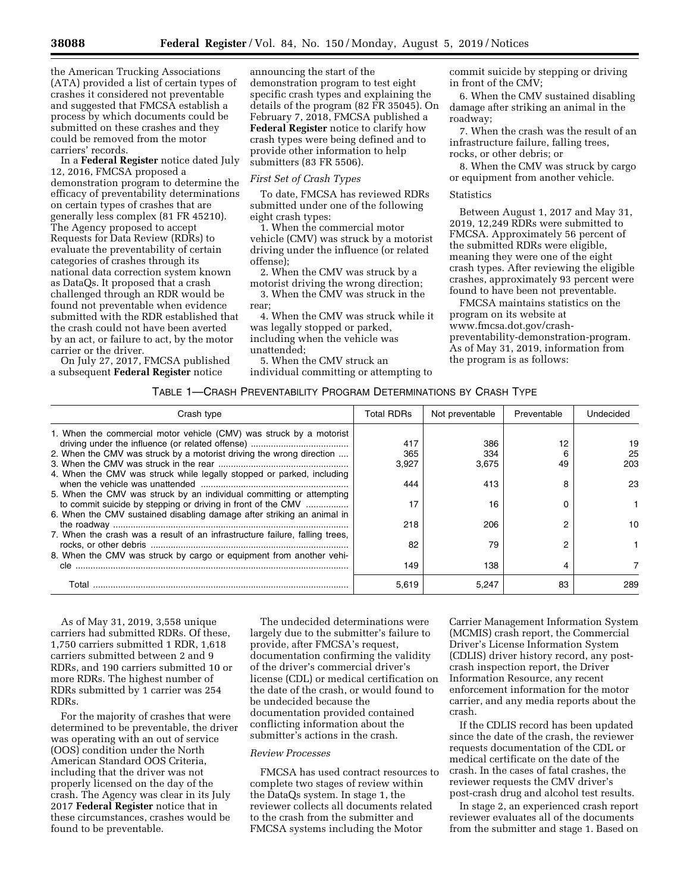the American Trucking Associations (ATA) provided a list of certain types of crashes it considered not preventable and suggested that FMCSA establish a process by which documents could be submitted on these crashes and they could be removed from the motor carriers' records.

In a **Federal Register** notice dated July 12, 2016, FMCSA proposed a demonstration program to determine the efficacy of preventability determinations on certain types of crashes that are generally less complex (81 FR 45210). The Agency proposed to accept Requests for Data Review (RDRs) to evaluate the preventability of certain categories of crashes through its national data correction system known as DataQs. It proposed that a crash challenged through an RDR would be found not preventable when evidence submitted with the RDR established that the crash could not have been averted by an act, or failure to act, by the motor carrier or the driver.

On July 27, 2017, FMCSA published a subsequent **Federal Register** notice

announcing the start of the demonstration program to test eight specific crash types and explaining the details of the program (82 FR 35045). On February 7, 2018, FMCSA published a **Federal Register** notice to clarify how crash types were being defined and to provide other information to help submitters (83 FR 5506).

# *First Set of Crash Types*

To date, FMCSA has reviewed RDRs submitted under one of the following eight crash types:

1. When the commercial motor vehicle (CMV) was struck by a motorist driving under the influence (or related offense);

2. When the CMV was struck by a motorist driving the wrong direction;

3. When the CMV was struck in the rear;

4. When the CMV was struck while it was legally stopped or parked, including when the vehicle was unattended;

5. When the CMV struck an individual committing or attempting to commit suicide by stepping or driving in front of the CMV;

6. When the CMV sustained disabling damage after striking an animal in the roadway;

7. When the crash was the result of an infrastructure failure, falling trees, rocks, or other debris; or

8. When the CMV was struck by cargo or equipment from another vehicle.

#### Statistics

Between August 1, 2017 and May 31, 2019, 12,249 RDRs were submitted to FMCSA. Approximately 56 percent of the submitted RDRs were eligible, meaning they were one of the eight crash types. After reviewing the eligible crashes, approximately 93 percent were found to have been not preventable.

FMCSA maintains statistics on the program on its website at [www.fmcsa.dot.gov/crash](http://www.fmcsa.dot.gov/crash-preventability-demonstration-program)[preventability-demonstration-program.](http://www.fmcsa.dot.gov/crash-preventability-demonstration-program) As of May 31, 2019, information from the program is as follows:

# TABLE 1—CRASH PREVENTABILITY PROGRAM DETERMINATIONS BY CRASH TYPE

| Crash type                                                                  | <b>Total RDRs</b> | Not preventable | Preventable | Undecided |
|-----------------------------------------------------------------------------|-------------------|-----------------|-------------|-----------|
| 1. When the commercial motor vehicle (CMV) was struck by a motorist         |                   |                 |             |           |
|                                                                             | 417               | 386             | 12          | 19        |
| 2. When the CMV was struck by a motorist driving the wrong direction        | 365               | 334             |             | 25        |
|                                                                             | 3.927             | 3,675           | 49          | 203       |
| 4. When the CMV was struck while legally stopped or parked, including       |                   |                 |             |           |
|                                                                             | 444               | 413             | я           | 23        |
| 5. When the CMV was struck by an individual committing or attempting        |                   |                 |             |           |
| to commit suicide by stepping or driving in front of the CMV                | 17                | 16              |             |           |
| 6. When the CMV sustained disabling damage after striking an animal in      |                   |                 |             |           |
|                                                                             | 218               | 206             |             | 10        |
| 7. When the crash was a result of an infrastructure failure, falling trees, |                   |                 |             |           |
|                                                                             | 82                | 79              |             |           |
| 8. When the CMV was struck by cargo or equipment from another vehi-         |                   |                 |             |           |
| cle                                                                         | 149               | 138             |             |           |
|                                                                             |                   |                 |             |           |
| Total                                                                       | 5,619             | 5.247           | 83          | 289       |

As of May 31, 2019, 3,558 unique carriers had submitted RDRs. Of these, 1,750 carriers submitted 1 RDR, 1,618 carriers submitted between 2 and 9 RDRs, and 190 carriers submitted 10 or more RDRs. The highest number of RDRs submitted by 1 carrier was 254 RDRs.

For the majority of crashes that were determined to be preventable, the driver was operating with an out of service (OOS) condition under the North American Standard OOS Criteria, including that the driver was not properly licensed on the day of the crash. The Agency was clear in its July 2017 **Federal Register** notice that in these circumstances, crashes would be found to be preventable.

The undecided determinations were largely due to the submitter's failure to provide, after FMCSA's request, documentation confirming the validity of the driver's commercial driver's license (CDL) or medical certification on the date of the crash, or would found to be undecided because the documentation provided contained conflicting information about the submitter's actions in the crash.

# *Review Processes*

FMCSA has used contract resources to complete two stages of review within the DataQs system. In stage 1, the reviewer collects all documents related to the crash from the submitter and FMCSA systems including the Motor

Carrier Management Information System (MCMIS) crash report, the Commercial Driver's License Information System (CDLIS) driver history record, any postcrash inspection report, the Driver Information Resource, any recent enforcement information for the motor carrier, and any media reports about the crash.

If the CDLIS record has been updated since the date of the crash, the reviewer requests documentation of the CDL or medical certificate on the date of the crash. In the cases of fatal crashes, the reviewer requests the CMV driver's post-crash drug and alcohol test results.

In stage 2, an experienced crash report reviewer evaluates all of the documents from the submitter and stage 1. Based on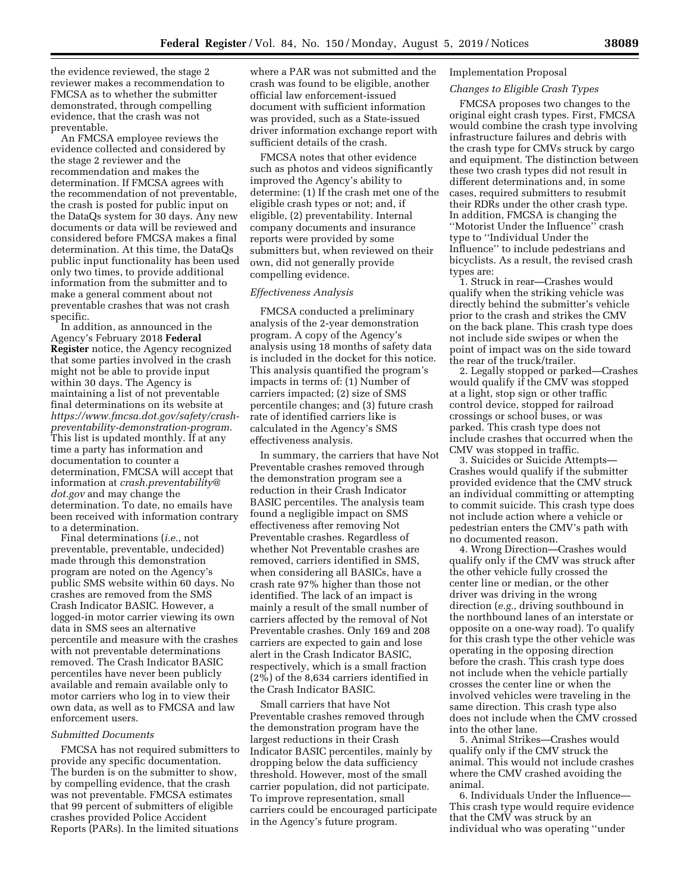the evidence reviewed, the stage 2 reviewer makes a recommendation to FMCSA as to whether the submitter demonstrated, through compelling evidence, that the crash was not preventable.

An FMCSA employee reviews the evidence collected and considered by the stage 2 reviewer and the recommendation and makes the determination. If FMCSA agrees with the recommendation of not preventable, the crash is posted for public input on the DataQs system for 30 days. Any new documents or data will be reviewed and considered before FMCSA makes a final determination. At this time, the DataQs public input functionality has been used only two times, to provide additional information from the submitter and to make a general comment about not preventable crashes that was not crash specific.

In addition, as announced in the Agency's February 2018 **Federal Register** notice, the Agency recognized that some parties involved in the crash might not be able to provide input within 30 days. The Agency is maintaining a list of not preventable final determinations on its website at *[https://www.fmcsa.dot.gov/safety/crash](https://www.fmcsa.dot.gov/safety/crash-preventability-demonstration-program)[preventability-demonstration-program.](https://www.fmcsa.dot.gov/safety/crash-preventability-demonstration-program)*  This list is updated monthly. If at any time a party has information and documentation to counter a determination, FMCSA will accept that information at *[crash.preventability@](mailto:crash.preventability@dot.gov) [dot.gov](mailto:crash.preventability@dot.gov)* and may change the determination. To date, no emails have been received with information contrary to a determination.

Final determinations (*i.e.,* not preventable, preventable, undecided) made through this demonstration program are noted on the Agency's public SMS website within 60 days. No crashes are removed from the SMS Crash Indicator BASIC. However, a logged-in motor carrier viewing its own data in SMS sees an alternative percentile and measure with the crashes with not preventable determinations removed. The Crash Indicator BASIC percentiles have never been publicly available and remain available only to motor carriers who log in to view their own data, as well as to FMCSA and law enforcement users.

#### *Submitted Documents*

FMCSA has not required submitters to provide any specific documentation. The burden is on the submitter to show, by compelling evidence, that the crash was not preventable. FMCSA estimates that 99 percent of submitters of eligible crashes provided Police Accident Reports (PARs). In the limited situations

where a PAR was not submitted and the crash was found to be eligible, another official law enforcement-issued document with sufficient information was provided, such as a State-issued driver information exchange report with sufficient details of the crash.

FMCSA notes that other evidence such as photos and videos significantly improved the Agency's ability to determine: (1) If the crash met one of the eligible crash types or not; and, if eligible, (2) preventability. Internal company documents and insurance reports were provided by some submitters but, when reviewed on their own, did not generally provide compelling evidence.

# *Effectiveness Analysis*

FMCSA conducted a preliminary analysis of the 2-year demonstration program. A copy of the Agency's analysis using 18 months of safety data is included in the docket for this notice. This analysis quantified the program's impacts in terms of: (1) Number of carriers impacted; (2) size of SMS percentile changes; and (3) future crash rate of identified carriers like is calculated in the Agency's SMS effectiveness analysis.

In summary, the carriers that have Not Preventable crashes removed through the demonstration program see a reduction in their Crash Indicator BASIC percentiles. The analysis team found a negligible impact on SMS effectiveness after removing Not Preventable crashes. Regardless of whether Not Preventable crashes are removed, carriers identified in SMS, when considering all BASICs, have a crash rate 97% higher than those not identified. The lack of an impact is mainly a result of the small number of carriers affected by the removal of Not Preventable crashes. Only 169 and 208 carriers are expected to gain and lose alert in the Crash Indicator BASIC, respectively, which is a small fraction (2%) of the 8,634 carriers identified in the Crash Indicator BASIC.

Small carriers that have Not Preventable crashes removed through the demonstration program have the largest reductions in their Crash Indicator BASIC percentiles, mainly by dropping below the data sufficiency threshold. However, most of the small carrier population, did not participate. To improve representation, small carriers could be encouraged participate in the Agency's future program.

### Implementation Proposal

# *Changes to Eligible Crash Types*

FMCSA proposes two changes to the original eight crash types. First, FMCSA would combine the crash type involving infrastructure failures and debris with the crash type for CMVs struck by cargo and equipment. The distinction between these two crash types did not result in different determinations and, in some cases, required submitters to resubmit their RDRs under the other crash type. In addition, FMCSA is changing the ''Motorist Under the Influence'' crash type to ''Individual Under the Influence'' to include pedestrians and bicyclists. As a result, the revised crash types are:

1. Struck in rear—Crashes would qualify when the striking vehicle was directly behind the submitter's vehicle prior to the crash and strikes the CMV on the back plane. This crash type does not include side swipes or when the point of impact was on the side toward the rear of the truck/trailer.

2. Legally stopped or parked—Crashes would qualify if the CMV was stopped at a light, stop sign or other traffic control device, stopped for railroad crossings or school buses, or was parked. This crash type does not include crashes that occurred when the CMV was stopped in traffic.

3. Suicides or Suicide Attempts— Crashes would qualify if the submitter provided evidence that the CMV struck an individual committing or attempting to commit suicide. This crash type does not include action where a vehicle or pedestrian enters the CMV's path with no documented reason.

4. Wrong Direction—Crashes would qualify only if the CMV was struck after the other vehicle fully crossed the center line or median, or the other driver was driving in the wrong direction (*e.g.,* driving southbound in the northbound lanes of an interstate or opposite on a one-way road). To qualify for this crash type the other vehicle was operating in the opposing direction before the crash. This crash type does not include when the vehicle partially crosses the center line or when the involved vehicles were traveling in the same direction. This crash type also does not include when the CMV crossed into the other lane.

5. Animal Strikes—Crashes would qualify only if the CMV struck the animal. This would not include crashes where the CMV crashed avoiding the animal.

6. Individuals Under the Influence— This crash type would require evidence that the CMV was struck by an individual who was operating ''under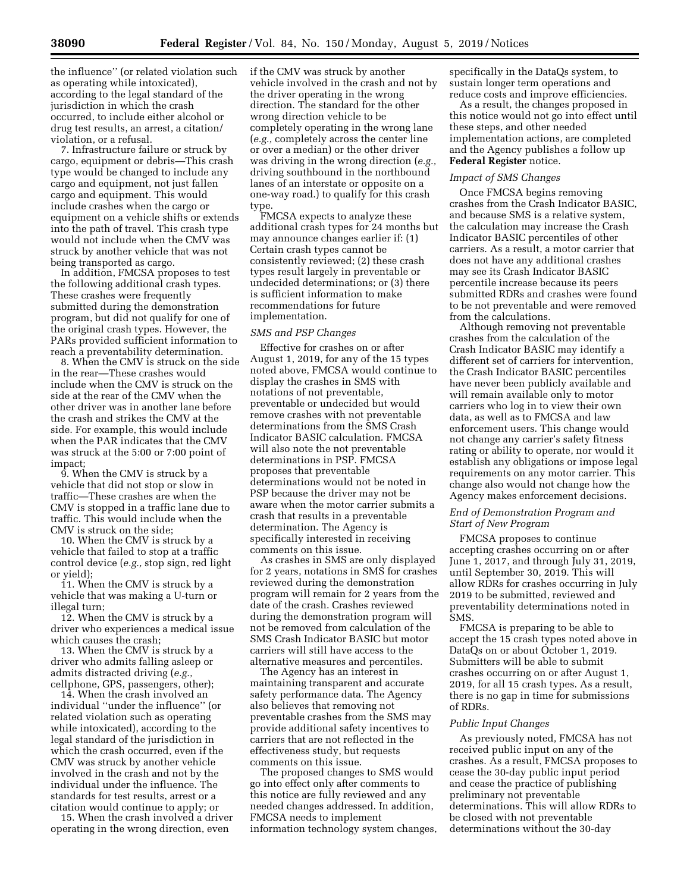the influence'' (or related violation such as operating while intoxicated), according to the legal standard of the jurisdiction in which the crash occurred, to include either alcohol or drug test results, an arrest, a citation/ violation, or a refusal.

7. Infrastructure failure or struck by cargo, equipment or debris—This crash type would be changed to include any cargo and equipment, not just fallen cargo and equipment. This would include crashes when the cargo or equipment on a vehicle shifts or extends into the path of travel. This crash type would not include when the CMV was struck by another vehicle that was not being transported as cargo.

In addition, FMCSA proposes to test the following additional crash types. These crashes were frequently submitted during the demonstration program, but did not qualify for one of the original crash types. However, the PARs provided sufficient information to reach a preventability determination.

8. When the CMV is struck on the side in the rear—These crashes would include when the CMV is struck on the side at the rear of the CMV when the other driver was in another lane before the crash and strikes the CMV at the side. For example, this would include when the PAR indicates that the CMV was struck at the 5:00 or 7:00 point of impact;

9. When the CMV is struck by a vehicle that did not stop or slow in traffic—These crashes are when the CMV is stopped in a traffic lane due to traffic. This would include when the CMV is struck on the side;

10. When the CMV is struck by a vehicle that failed to stop at a traffic control device (*e.g.,* stop sign, red light or yield);

11. When the CMV is struck by a vehicle that was making a U-turn or illegal turn;

12. When the CMV is struck by a driver who experiences a medical issue which causes the crash;

13. When the CMV is struck by a driver who admits falling asleep or admits distracted driving (*e.g.,*  cellphone, GPS, passengers, other);

14. When the crash involved an individual ''under the influence'' (or related violation such as operating while intoxicated), according to the legal standard of the jurisdiction in which the crash occurred, even if the CMV was struck by another vehicle involved in the crash and not by the individual under the influence. The standards for test results, arrest or a citation would continue to apply; or

15. When the crash involved a driver operating in the wrong direction, even

if the CMV was struck by another vehicle involved in the crash and not by the driver operating in the wrong direction. The standard for the other wrong direction vehicle to be completely operating in the wrong lane (*e.g.,* completely across the center line or over a median) or the other driver was driving in the wrong direction (*e.g.,*  driving southbound in the northbound lanes of an interstate or opposite on a one-way road.) to qualify for this crash type.

FMCSA expects to analyze these additional crash types for 24 months but may announce changes earlier if: (1) Certain crash types cannot be consistently reviewed; (2) these crash types result largely in preventable or undecided determinations; or (3) there is sufficient information to make recommendations for future implementation.

### *SMS and PSP Changes*

Effective for crashes on or after August 1, 2019, for any of the 15 types noted above, FMCSA would continue to display the crashes in SMS with notations of not preventable, preventable or undecided but would remove crashes with not preventable determinations from the SMS Crash Indicator BASIC calculation. FMCSA will also note the not preventable determinations in PSP. FMCSA proposes that preventable determinations would not be noted in PSP because the driver may not be aware when the motor carrier submits a crash that results in a preventable determination. The Agency is specifically interested in receiving comments on this issue.

As crashes in SMS are only displayed for 2 years, notations in SMS for crashes reviewed during the demonstration program will remain for 2 years from the date of the crash. Crashes reviewed during the demonstration program will not be removed from calculation of the SMS Crash Indicator BASIC but motor carriers will still have access to the alternative measures and percentiles.

The Agency has an interest in maintaining transparent and accurate safety performance data. The Agency also believes that removing not preventable crashes from the SMS may provide additional safety incentives to carriers that are not reflected in the effectiveness study, but requests comments on this issue.

The proposed changes to SMS would go into effect only after comments to this notice are fully reviewed and any needed changes addressed. In addition, FMCSA needs to implement information technology system changes, specifically in the DataQs system, to sustain longer term operations and reduce costs and improve efficiencies.

As a result, the changes proposed in this notice would not go into effect until these steps, and other needed implementation actions, are completed and the Agency publishes a follow up **Federal Register** notice.

# *Impact of SMS Changes*

Once FMCSA begins removing crashes from the Crash Indicator BASIC, and because SMS is a relative system, the calculation may increase the Crash Indicator BASIC percentiles of other carriers. As a result, a motor carrier that does not have any additional crashes may see its Crash Indicator BASIC percentile increase because its peers submitted RDRs and crashes were found to be not preventable and were removed from the calculations.

Although removing not preventable crashes from the calculation of the Crash Indicator BASIC may identify a different set of carriers for intervention, the Crash Indicator BASIC percentiles have never been publicly available and will remain available only to motor carriers who log in to view their own data, as well as to FMCSA and law enforcement users. This change would not change any carrier's safety fitness rating or ability to operate, nor would it establish any obligations or impose legal requirements on any motor carrier. This change also would not change how the Agency makes enforcement decisions.

# *End of Demonstration Program and Start of New Program*

FMCSA proposes to continue accepting crashes occurring on or after June 1, 2017, and through July 31, 2019, until September 30, 2019. This will allow RDRs for crashes occurring in July 2019 to be submitted, reviewed and preventability determinations noted in SMS.

FMCSA is preparing to be able to accept the 15 crash types noted above in DataQs on or about October 1, 2019. Submitters will be able to submit crashes occurring on or after August 1, 2019, for all 15 crash types. As a result, there is no gap in time for submissions of RDRs.

#### *Public Input Changes*

As previously noted, FMCSA has not received public input on any of the crashes. As a result, FMCSA proposes to cease the 30-day public input period and cease the practice of publishing preliminary not preventable determinations. This will allow RDRs to be closed with not preventable determinations without the 30-day